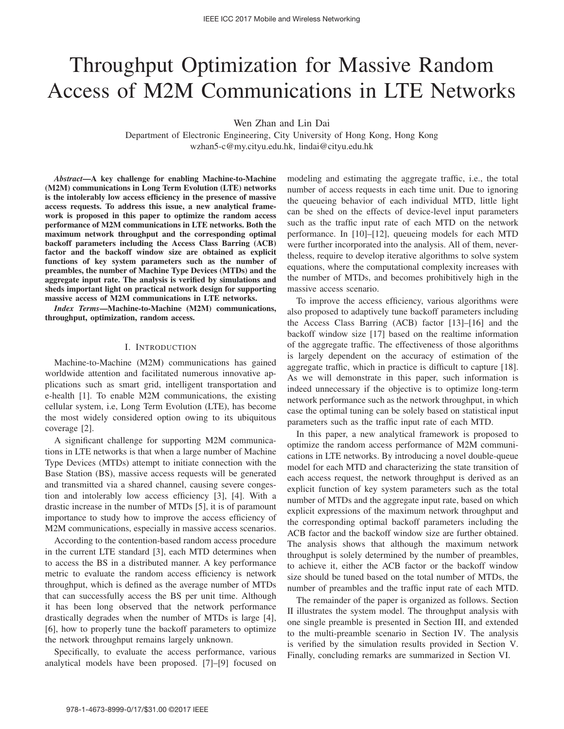# Throughput Optimization for Massive Random Access of M2M Communications in LTE Networks

Wen Zhan and Lin Dai

Department of Electronic Engineering, City University of Hong Kong, Hong Kong wzhan5-c@my.cityu.edu.hk, lindai@cityu.edu.hk

*Abstract*—A key challenge for enabling Machine-to-Machine (M2M) communications in Long Term Evolution (LTE) networks is the intolerably low access efficiency in the presence of massive access requests. To address this issue, a new analytical framework is proposed in this paper to optimize the random access performance of M2M communications in LTE networks. Both the maximum network throughput and the corresponding optimal backoff parameters including the Access Class Barring (ACB) factor and the backoff window size are obtained as explicit functions of key system parameters such as the number of preambles, the number of Machine Type Devices (MTDs) and the aggregate input rate. The analysis is verified by simulations and sheds important light on practical network design for supporting massive access of M2M communications in LTE networks.

*Index Terms*—Machine-to-Machine (M2M) communications, throughput, optimization, random access.

## I. INTRODUCTION

Machine-to-Machine (M2M) communications has gained worldwide attention and facilitated numerous innovative applications such as smart grid, intelligent transportation and e-health [1]. To enable M2M communications, the existing cellular system, i.e, Long Term Evolution (LTE), has become the most widely considered option owing to its ubiquitous coverage [2].

A significant challenge for supporting M2M communications in LTE networks is that when a large number of Machine Type Devices (MTDs) attempt to initiate connection with the Base Station (BS), massive access requests will be generated and transmitted via a shared channel, causing severe congestion and intolerably low access efficiency [3], [4]. With a drastic increase in the number of MTDs [5], it is of paramount importance to study how to improve the access efficiency of M2M communications, especially in massive access scenarios.

According to the contention-based random access procedure in the current LTE standard [3], each MTD determines when to access the BS in a distributed manner. A key performance metric to evaluate the random access efficiency is network throughput, which is defined as the average number of MTDs that can successfully access the BS per unit time. Although it has been long observed that the network performance drastically degrades when the number of MTDs is large [4], [6], how to properly tune the backoff parameters to optimize the network throughput remains largely unknown.

Specifically, to evaluate the access performance, various analytical models have been proposed. [7]–[9] focused on modeling and estimating the aggregate traffic, i.e., the total number of access requests in each time unit. Due to ignoring the queueing behavior of each individual MTD, little light can be shed on the effects of device-level input parameters such as the traffic input rate of each MTD on the network performance. In [10]–[12], queueing models for each MTD were further incorporated into the analysis. All of them, nevertheless, require to develop iterative algorithms to solve system equations, where the computational complexity increases with the number of MTDs, and becomes prohibitively high in the massive access scenario.

To improve the access efficiency, various algorithms were also proposed to adaptively tune backoff parameters including the Access Class Barring (ACB) factor [13]–[16] and the backoff window size [17] based on the realtime information of the aggregate traffic. The effectiveness of those algorithms is largely dependent on the accuracy of estimation of the aggregate traffic, which in practice is difficult to capture [18]. As we will demonstrate in this paper, such information is indeed unnecessary if the objective is to optimize long-term network performance such as the network throughput, in which case the optimal tuning can be solely based on statistical input parameters such as the traffic input rate of each MTD.

In this paper, a new analytical framework is proposed to optimize the random access performance of M2M communications in LTE networks. By introducing a novel double-queue model for each MTD and characterizing the state transition of each access request, the network throughput is derived as an explicit function of key system parameters such as the total number of MTDs and the aggregate input rate, based on which explicit expressions of the maximum network throughput and the corresponding optimal backoff parameters including the ACB factor and the backoff window size are further obtained. The analysis shows that although the maximum network throughput is solely determined by the number of preambles, to achieve it, either the ACB factor or the backoff window size should be tuned based on the total number of MTDs, the number of preambles and the traffic input rate of each MTD.

The remainder of the paper is organized as follows. Section II illustrates the system model. The throughput analysis with one single preamble is presented in Section III, and extended to the multi-preamble scenario in Section IV. The analysis is verified by the simulation results provided in Section V. Finally, concluding remarks are summarized in Section VI.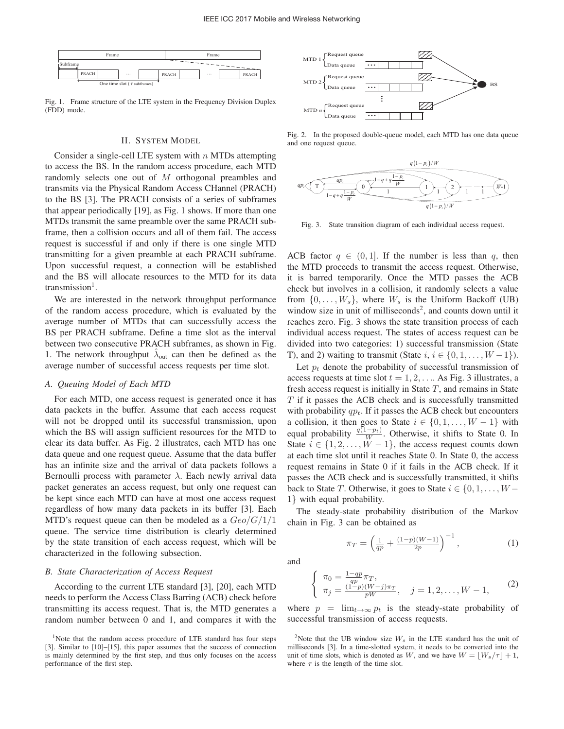

Fig. 1. Frame structure of the LTE system in the Frequency Division Duplex (FDD) mode.

# II. SYSTEM MODEL

Consider a single-cell LTE system with  $n$  MTDs attempting to access the BS. In the random access procedure, each MTD randomly selects one out of M orthogonal preambles and transmits via the Physical Random Access CHannel (PRACH) to the BS [3]. The PRACH consists of a series of subframes that appear periodically [19], as Fig. 1 shows. If more than one MTDs transmit the same preamble over the same PRACH subframe, then a collision occurs and all of them fail. The access request is successful if and only if there is one single MTD transmitting for a given preamble at each PRACH subframe. Upon successful request, a connection will be established and the BS will allocate resources to the MTD for its data transmission $<sup>1</sup>$ .</sup>

We are interested in the network throughput performance of the random access procedure, which is evaluated by the average number of MTDs that can successfully access the BS per PRACH subframe. Define a time slot as the interval between two consecutive PRACH subframes, as shown in Fig. 1. The network throughput  $\lambda_{\text{out}}$  can then be defined as the average number of successful access requests per time slot.

## *A. Queuing Model of Each MTD*

For each MTD, one access request is generated once it has data packets in the buffer. Assume that each access request will not be dropped until its successful transmission, upon which the BS will assign sufficient resources for the MTD to clear its data buffer. As Fig. 2 illustrates, each MTD has one data queue and one request queue. Assume that the data buffer has an infinite size and the arrival of data packets follows a Bernoulli process with parameter  $\lambda$ . Each newly arrival data packet generates an access request, but only one request can be kept since each MTD can have at most one access request regardless of how many data packets in its buffer [3]. Each MTD's request queue can then be modeled as a  $Geo/G/1/1$ queue. The service time distribution is clearly determined by the state transition of each access request, which will be characterized in the following subsection.

## *B. State Characterization of Access Request*

According to the current LTE standard [3], [20], each MTD needs to perform the Access Class Barring (ACB) check before transmitting its access request. That is, the MTD generates a random number between 0 and 1, and compares it with the



Fig. 2. In the proposed double-queue model, each MTD has one data queue and one request queue.



Fig. 3. State transition diagram of each individual access request.

ACB factor  $q \in (0, 1]$ . If the number is less than q, then the MTD proceeds to transmit the access request. Otherwise, it is barred temporarily. Once the MTD passes the ACB check but involves in a collision, it randomly selects a value from  $\{0, \ldots, W_s\}$ , where  $W_s$  is the Uniform Backoff (UB) window size in unit of milliseconds<sup>2</sup>, and counts down until it reaches zero. Fig. 3 shows the state transition process of each individual access request. The states of access request can be divided into two categories: 1) successful transmission (State T), and 2) waiting to transmit (State  $i, i \in \{0, 1, \ldots, W-1\}$ ).

Let  $p_t$  denote the probability of successful transmission of access requests at time slot  $t = 1, 2, \ldots$  As Fig. 3 illustrates, a fresh access request is initially in State  $T$ , and remains in State  $T$  if it passes the ACB check and is successfully transmitted with probability  $qp_t$ . If it passes the ACB check but encounters a collision, it then goes to State  $i \in \{0, 1, \ldots, W - 1\}$  with equal probability  $\frac{q(1-p_t)}{W}$ . Otherwise, it shifts to State 0. In State  $i \in \{1, 2, \ldots, W - 1\}$ , the access request counts down at each time slot until it reaches State 0. In State 0, the access request remains in State 0 if it fails in the ACB check. If it passes the ACB check and is successfully transmitted, it shifts back to State T. Otherwise, it goes to State  $i \in \{0, 1, \ldots, W - \}$ 1} with equal probability.

The steady-state probability distribution of the Markov chain in Fig. 3 can be obtained as

$$
\pi_T = \left(\frac{1}{qp} + \frac{(1-p)(W-1)}{2p}\right)^{-1},\tag{1}
$$

and

$$
\begin{cases} \pi_0 = \frac{1 - qp}{qp} \pi_T, \\ \pi_j = \frac{(1 - p)(W - j)\pi_T}{pW}, \quad j = 1, 2, \dots, W - 1, \end{cases}
$$
 (2)

where  $p = \lim_{t\to\infty} p_t$  is the steady-state probability of successful transmission of access requests.

<sup>2</sup>Note that the UB window size  $W_s$  in the LTE standard has the unit of milliseconds [3]. In a time-slotted system, it needs to be converted into the unit of time slots, which is denoted as W, and we have  $W = \lfloor W_s / \tau \rfloor + 1$ , where  $\tau$  is the length of the time slot.

<sup>&</sup>lt;sup>1</sup>Note that the random access procedure of LTE standard has four steps [3]. Similar to [10]–[15], this paper assumes that the success of connection is mainly determined by the first step, and thus only focuses on the access performance of the first step.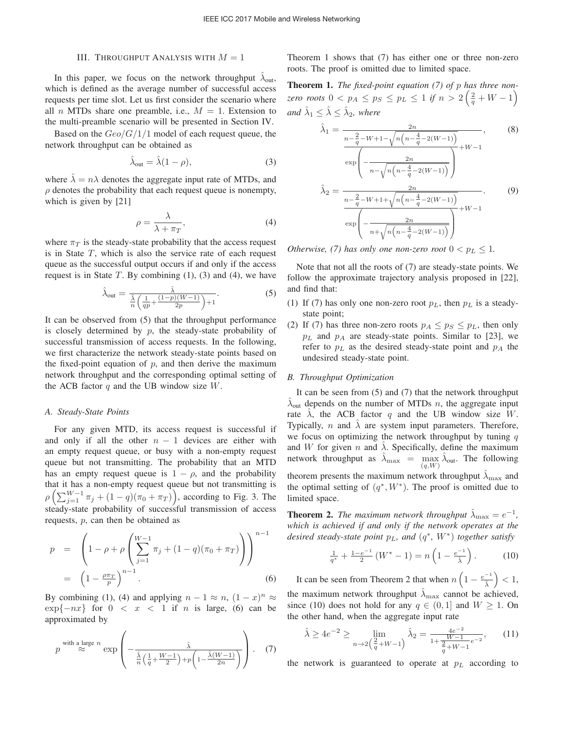#### III. THROUGHPUT ANALYSIS WITH  $M = 1$

In this paper, we focus on the network throughput  $\lambda_{\text{out}}$ , which is defined as the average number of successful access requests per time slot. Let us first consider the scenario where all *n* MTDs share one preamble, i.e.,  $M = 1$ . Extension to the multi-preamble scenario will be presented in Section IV.

Based on the  $Geo/G/1/1$  model of each request queue, the network throughput can be obtained as

$$
\hat{\lambda}_{\text{out}} = \hat{\lambda}(1 - \rho),\tag{3}
$$

where  $\lambda = n\lambda$  denotes the aggregate input rate of MTDs, and  $\rho$  denotes the probability that each request queue is nonempty, which is given by [21]

$$
\rho = \frac{\lambda}{\lambda + \pi_T},\tag{4}
$$

where  $\pi_T$  is the steady-state probability that the access request is in State  $T$ , which is also the service rate of each request queue as the successful output occurs if and only if the access request is in State  $T$ . By combining  $(1)$ ,  $(3)$  and  $(4)$ , we have

$$
\hat{\lambda}_{\text{out}} = \frac{\hat{\lambda}}{n} \left( \frac{1}{qp} + \frac{(1-p)(W-1)}{2p} \right) + 1}.
$$
\n(5)

It can be observed from (5) that the throughput performance is closely determined by  $p$ , the steady-state probability of successful transmission of access requests. In the following, we first characterize the network steady-state points based on the fixed-point equation of  $p$ , and then derive the maximum network throughput and the corresponding optimal setting of the ACB factor  $q$  and the UB window size  $W$ .

#### *A. Steady-State Points*

For any given MTD, its access request is successful if and only if all the other  $n - 1$  devices are either with an empty request queue, or busy with a non-empty request queue but not transmitting. The probability that an MTD has an empty request queue is  $1 - \rho$ , and the probability that it has a non-empty request queue but not transmitting is  $\rho\left(\sum_{j=1}^{W-1}\pi_j + (1-q)(\pi_0 + \pi_T)\right)$ , according to Fig. 3. The steady-state probability of successful transmission of access requests, p, can then be obtained as

$$
p = \left(1 - \rho + \rho \left(\sum_{j=1}^{W-1} \pi_j + (1 - q)(\pi_0 + \pi_T)\right)\right)^{n-1}
$$
  
=  $\left(1 - \frac{\rho \pi_T}{p}\right)^{n-1}$ . (6)

By combining (1), (4) and applying  $n - 1 \approx n$ ,  $(1 - x)^n \approx$  $\exp\{-nx\}$  for  $0 < x < 1$  if n is large, (6) can be approximated by

$$
p^{\text{with a large } n} \approx \exp\left(-\frac{\hat{\lambda}}{\frac{\hat{\lambda}\left(\frac{1}{q} + \frac{W-1}{2}\right) + p\left(1 - \frac{\hat{\lambda}(W-1)}{2n}\right)}}\right). \quad (7)
$$

Theorem 1 shows that (7) has either one or three non-zero roots. The proof is omitted due to limited space.

Theorem 1. *The fixed-point equation (7) of* p *has three nonzero roots*  $0 < p_A \le p_S \le p_L \le 1$  *if*  $n > 2\left(\frac{2}{q} + W - 1\right)$ *and*  $\hat{\lambda}_1 < \hat{\lambda} < \hat{\lambda}_2$ *, where* 

$$
\hat{\lambda}_1 = \frac{2n}{n - \frac{2}{q} - W + 1 - \sqrt{n(n - \frac{4}{q} - 2(W - 1))}} \,,\tag{8}
$$
\n
$$
\exp\left(-\frac{2n}{n - \sqrt{n(n - \frac{4}{q} - 2(W - 1))}}\right) + W - 1
$$
\n
$$
\hat{\lambda}_2 = \frac{2n}{n - \frac{2}{q} - W + 1 + \sqrt{n(n - \frac{4}{q} - 2(W - 1))}} \,,\tag{9}
$$
\n
$$
\exp\left(-\frac{2n}{n + \sqrt{n(n - \frac{4}{q} - 2(W - 1))}}\right) + W - 1
$$

*Otherwise, (7) has only one non-zero root*  $0 < p_L \leq 1$ .

Note that not all the roots of (7) are steady-state points. We follow the approximate trajectory analysis proposed in [22], and find that:

- (1) If (7) has only one non-zero root  $p<sub>L</sub>$ , then  $p<sub>L</sub>$  is a steadystate point;
- (2) If (7) has three non-zero roots  $p_A \leq p_S \leq p_L$ , then only  $p<sub>L</sub>$  and  $p<sub>A</sub>$  are steady-state points. Similar to [23], we refer to  $p<sub>L</sub>$  as the desired steady-state point and  $p<sub>A</sub>$  the undesired steady-state point.

#### *B. Throughput Optimization*

It can be seen from (5) and (7) that the network throughput  $\lambda_{\text{out}}$  depends on the number of MTDs *n*, the aggregate input rate  $\lambda$ , the ACB factor q and the UB window size W. Typically, *n* and  $\lambda$  are system input parameters. Therefore, we focus on optimizing the network throughput by tuning  $q$ and W for given n and  $\lambda$ . Specifically, define the maximum network throughput as  $\hat{\lambda}_{\text{max}} = \max_{\text{max}} \hat{\lambda}_{\text{out}}$ . The following  $(q, W)$ theorem presents the maximum network throughput  $\lambda_{\text{max}}$  and the optimal setting of  $(q^*, W^*)$ . The proof is omitted due to limited space.

**Theorem 2.** *The maximum network throughput*  $\hat{\lambda}_{\text{max}} = e^{-1}$ , *which is achieved if and only if the network operates at the desired steady-state point* pL*, and* (q∗*,* W∗) *together satisfy*

$$
\frac{1}{q^*} + \frac{1 - e^{-1}}{2} \left( W^* - 1 \right) = n \left( 1 - \frac{e^{-1}}{\hat{\lambda}} \right). \tag{10}
$$

It can be seen from Theorem 2 that when  $n\left(1 - \frac{e^{-1}}{\hat{\lambda}}\right) < 1$ , the maximum network throughput  $\hat{\lambda}_{\text{max}}$  cannot be achieved, since (10) does not hold for any  $q \in (0,1]$  and  $W \ge 1$ . On the other hand, when the aggregate input rate

$$
\hat{\lambda} \ge 4e^{-2} \ge \lim_{n \to 2\left(\frac{2}{q} + W - 1\right)} \hat{\lambda}_2 = \frac{4e^{-2}}{1 + \frac{W - 1}{\frac{2}{q} + W - 1}e^{-2}},\tag{11}
$$

the network is guaranteed to operate at  $p<sub>L</sub>$  according to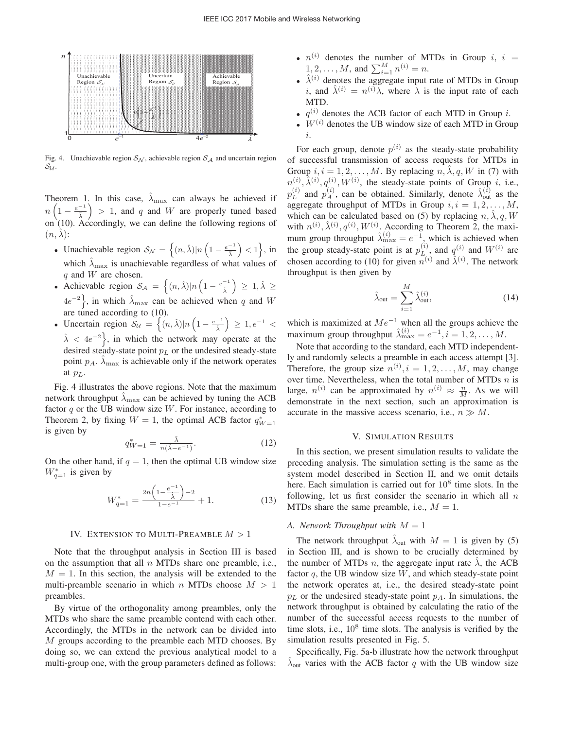

Fig. 4. Unachievable region  $S_N$ , achievable region  $S_A$  and uncertain region  $\mathcal{S}_{\mathcal{U}}$ .

Theorem 1. In this case,  $\hat{\lambda}_{\text{max}}$  can always be achieved if  $n\left(1 - \frac{e^{-1}}{\hat{\lambda}}\right) > 1$ , and q and W are properly tuned based on  $(10)$ . Accordingly, we can define the following regions of  $(n, \lambda)$ :

- Unachievable region  $S_N = \left\{ (n, \hat{\lambda}) | n \left( 1 \frac{e^{-1}}{\hat{\lambda}} \right) < 1 \right\}$ , in which  $\hat{\lambda}_{\text{max}}$  is unachievable regardless of what values of  $q$  and  $W$  are chosen.
- Achievable region  $S_A = \left\{ (n, \hat{\lambda}) | n \left( 1 \frac{e^{-1}}{\hat{\lambda}} \right) \geq 1, \hat{\lambda} \geq 1 \right\}$  $4e^{-2}$ , in which  $\hat{\lambda}_{\text{max}}$  can be achieved when q and W are tuned according to (10).
- Uncertain region  $S_{\mathcal{U}} = \left\{ (n, \hat{\lambda}) | n \left( 1 \frac{e^{-1}}{\hat{\lambda}} \right) \geq 1, e^{-1} \right\}$  $\hat{\lambda}$  < 4e<sup>-2</sup>, in which the network may operate at the desired steady-state point  $p<sub>L</sub>$  or the undesired steady-state point  $p_A$ .  $\lambda_{\text{max}}$  is achievable only if the network operates at  $p_L$ .

Fig. 4 illustrates the above regions. Note that the maximum network throughput  $\lambda_{\text{max}}$  can be achieved by tuning the ACB factor  $q$  or the UB window size  $W$ . For instance, according to Theorem 2, by fixing  $W = 1$ , the optimal ACB factor  $q_{W=1}^*$ is given by

$$
q_{W=1}^{*} = \frac{\hat{\lambda}}{n(\hat{\lambda} - e^{-1})}.
$$
 (12)

On the other hand, if  $q = 1$ , then the optimal UB window size  $W_{q=1}^*$  is given by

$$
W_{q=1}^{*} = \frac{2n\left(1 - \frac{e^{-1}}{\hat{\lambda}}\right) - 2}{1 - e^{-1}} + 1.
$$
 (13)

#### IV. EXTENSION TO MULTI-PREAMBLE  $M > 1$

Note that the throughput analysis in Section III is based on the assumption that all  $n$  MTDs share one preamble, i.e.,  $M = 1$ . In this section, the analysis will be extended to the multi-preamble scenario in which n MTDs choose  $M > 1$ preambles.

By virtue of the orthogonality among preambles, only the MTDs who share the same preamble contend with each other. Accordingly, the MTDs in the network can be divided into M groups according to the preamble each MTD chooses. By doing so, we can extend the previous analytical model to a multi-group one, with the group parameters defined as follows:

- $n^{(i)}$  denotes the number of MTDs in Group i,  $i =$  $1, 2, \ldots, M$ , and  $\sum_{i=1}^{M} n^{(i)} = n$ .
- $\hat{\lambda}^{(i)}$  denotes the aggregate input rate of MTDs in Group i, and  $\hat{\lambda}^{(i)} = n^{(i)}\lambda$ , where  $\lambda$  is the input rate of each MTD.
- $q^{(i)}$  denotes the ACB factor of each MTD in Group *i*.
- $W^{(i)}$  denotes the UB window size of each MTD in Group i.

For each group, denote  $p^{(i)}$  as the steady-state probability of successful transmission of access requests for MTDs in Group  $i, i = 1, 2, \ldots, M$ . By replacing  $n, \lambda, q, W$  in (7) with  $n^{(i)}$ ,  $\hat{\lambda}^{(i)}$ ,  $q^{(i)}$ ,  $W^{(i)}$ , the steady-state points of Group i, i.e.,  $p_L^{(i)}$  and  $p_A^{(i)}$ , can be obtained. Similarly, denote  $\hat{\lambda}_{out}^{(i)}$  as the aggregate throughput of MTDs in Group  $i, i = 1, 2, \ldots, M$ , which can be calculated based on (5) by replacing  $n, \lambda, q, W$ with  $n^{(i)}$ ,  $\hat{\lambda}^{(i)}$ ,  $q^{(i)}$ ,  $W^{(i)}$ . According to Theorem 2, the maximum group throughput  $\hat{\lambda}_{\max}^{(i)} = e^{-1}$ , which is achieved when the group steady-state point is at  $p_L^{(i)}$ , and  $q_L^{(i)}$  and  $W^{(i)}$  are chosen according to (10) for given  $n^{(i)}$  and  $\hat{\lambda}^{(i)}$ . The network throughput is then given by

$$
\hat{\lambda}_{\text{out}} = \sum_{i=1}^{M} \hat{\lambda}_{\text{out}}^{(i)},\tag{14}
$$

which is maximized at  $Me^{-1}$  when all the groups achieve the maximum group throughput  $\hat{\lambda}_{\max}^{(i)} = e^{-1}, i = 1, 2, \dots, M$ .

Note that according to the standard, each MTD independently and randomly selects a preamble in each access attempt [3]. Therefore, the group size  $n^{(i)}$ ,  $i = 1, 2, ..., M$ , may change over time. Nevertheless, when the total number of MTDs  $n$  is large,  $n^{(i)}$  can be approximated by  $n^{(i)} \approx \frac{n}{M}$ . As we will demonstrate in the next section, such an approximation is accurate in the massive access scenario, i.e.,  $n \gg M$ .

#### V. SIMULATION RESULTS

In this section, we present simulation results to validate the preceding analysis. The simulation setting is the same as the system model described in Section II, and we omit details here. Each simulation is carried out for  $10^8$  time slots. In the following, let us first consider the scenario in which all  $n$ MTDs share the same preamble, i.e.,  $M = 1$ .

## *A. Network Throughput with* M = 1

The network throughput  $\lambda_{\text{out}}$  with  $M = 1$  is given by (5) in Section III, and is shown to be crucially determined by the number of MTDs *n*, the aggregate input rate  $\lambda$ , the ACB factor  $q$ , the UB window size  $W$ , and which steady-state point the network operates at, i.e., the desired steady-state point  $p<sub>L</sub>$  or the undesired steady-state point  $p<sub>A</sub>$ . In simulations, the network throughput is obtained by calculating the ratio of the number of the successful access requests to the number of time slots, i.e.,  $10^8$  time slots. The analysis is verified by the simulation results presented in Fig. 5.

Specifically, Fig. 5a-b illustrate how the network throughput  $\lambda_{\text{out}}$  varies with the ACB factor q with the UB window size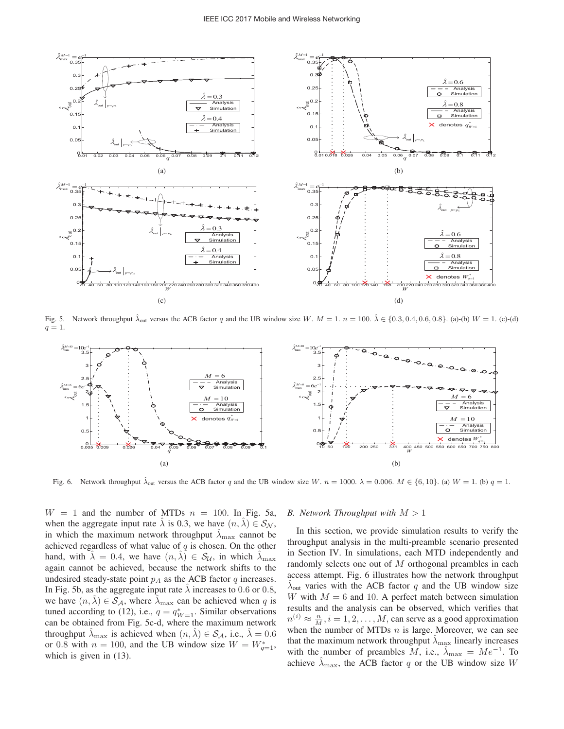

Fig. 5. Network throughput  $\hat{\lambda}_{out}$  versus the ACB factor q and the UB window size W.  $M = 1$ .  $n = 100$ .  $\hat{\lambda} \in \{0.3, 0.4, 0.6, 0.8\}$ . (a)-(b)  $W = 1$ . (c)-(d)  $q=1$ .



Fig. 6. Network throughput  $\hat{\lambda}_{out}$  versus the ACB factor q and the UB window size W.  $n = 1000$ .  $\lambda = 0.006$ .  $M \in \{6, 10\}$ . (a)  $W = 1$ . (b)  $q = 1$ .

 $W = 1$  and the number of MTDs  $n = 100$ . In Fig. 5a, when the aggregate input rate  $\lambda$  is 0.3, we have  $(n, \lambda) \in S_N$ , in which the maximum network throughput  $\lambda_{\text{max}}$  cannot be achieved regardless of what value of  $q$  is chosen. On the other hand, with  $\lambda = 0.4$ , we have  $(n, \lambda) \in S_{\mathcal{U}}$ , in which  $\lambda_{\max}$ again cannot be achieved, because the network shifts to the undesired steady-state point  $p_A$  as the ACB factor  $q$  increases. In Fig. 5b, as the aggregate input rate  $\lambda$  increases to 0.6 or 0.8, we have  $(n, \lambda) \in S_A$ , where  $\lambda_{\text{max}}$  can be achieved when q is tuned according to (12), i.e.,  $q = q_{W=1}^*$ . Similar observations can be obtained from Fig. 5c-d, where the maximum network throughput  $\lambda_{\text{max}}$  is achieved when  $(n, \lambda) \in S_A$ , i.e.,  $\lambda = 0.6$ or 0.8 with  $n = 100$ , and the UB window size  $W = W_{q=1}^*$ , which is given in  $(13)$ .

#### *B. Network Throughput with*  $M > 1$

In this section, we provide simulation results to verify the throughput analysis in the multi-preamble scenario presented in Section IV. In simulations, each MTD independently and randomly selects one out of M orthogonal preambles in each access attempt. Fig. 6 illustrates how the network throughput  $\hat{\lambda}_{out}$  varies with the ACB factor q and the UB window size W with  $M = 6$  and 10. A perfect match between simulation results and the analysis can be observed, which verifies that  $n^{(i)} \approx \frac{n}{M}, i = 1, 2, \dots, M$ , can serve as a good approximation when the number of MTDs  $n$  is large. Moreover, we can see that the maximum network throughput  $\lambda_{\text{max}}$  linearly increases with the number of preambles M, i.e.,  $\hat{\lambda}_{\text{max}} = Me^{-1}$ . To achieve  $\lambda_{\text{max}}$ , the ACB factor q or the UB window size W